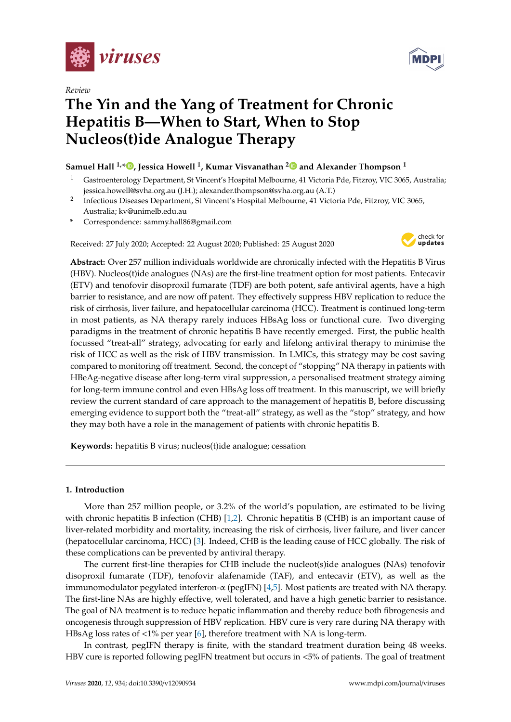

*Review*



# **The Yin and the Yang of Treatment for Chronic Hepatitis B—When to Start, When to Stop Nucleos(t)ide Analogue Therapy**

# **Samuel Hall 1,\* [,](https://orcid.org/0000-0001-7158-585X) Jessica Howell <sup>1</sup> , Kumar Visvanathan [2](https://orcid.org/0000-0002-1176-5442) and Alexander Thompson <sup>1</sup>**

- <sup>1</sup> Gastroenterology Department, St Vincent's Hospital Melbourne, 41 Victoria Pde, Fitzroy, VIC 3065, Australia; jessica.howell@svha.org.au (J.H.); alexander.thompson@svha.org.au (A.T.)
- 2 Infectious Diseases Department, St Vincent's Hospital Melbourne, 41 Victoria Pde, Fitzroy, VIC 3065, Australia; kv@unimelb.edu.au
- **\*** Correspondence: sammy.hall86@gmail.com

Received: 27 July 2020; Accepted: 22 August 2020; Published: 25 August 2020



**Abstract:** Over 257 million individuals worldwide are chronically infected with the Hepatitis B Virus (HBV). Nucleos(t)ide analogues (NAs) are the first-line treatment option for most patients. Entecavir (ETV) and tenofovir disoproxil fumarate (TDF) are both potent, safe antiviral agents, have a high barrier to resistance, and are now off patent. They effectively suppress HBV replication to reduce the risk of cirrhosis, liver failure, and hepatocellular carcinoma (HCC). Treatment is continued long-term in most patients, as NA therapy rarely induces HBsAg loss or functional cure. Two diverging paradigms in the treatment of chronic hepatitis B have recently emerged. First, the public health focussed "treat-all" strategy, advocating for early and lifelong antiviral therapy to minimise the risk of HCC as well as the risk of HBV transmission. In LMICs, this strategy may be cost saving compared to monitoring off treatment. Second, the concept of "stopping" NA therapy in patients with HBeAg-negative disease after long-term viral suppression, a personalised treatment strategy aiming for long-term immune control and even HBsAg loss off treatment. In this manuscript, we will briefly review the current standard of care approach to the management of hepatitis B, before discussing emerging evidence to support both the "treat-all" strategy, as well as the "stop" strategy, and how they may both have a role in the management of patients with chronic hepatitis B.

**Keywords:** hepatitis B virus; nucleos(t)ide analogue; cessation

# **1. Introduction**

More than 257 million people, or 3.2% of the world's population, are estimated to be living with chronic hepatitis B infection (CHB) [\[1](#page-10-0)[,2\]](#page-10-1). Chronic hepatitis B (CHB) is an important cause of liver-related morbidity and mortality, increasing the risk of cirrhosis, liver failure, and liver cancer (hepatocellular carcinoma, HCC) [\[3\]](#page-10-2). Indeed, CHB is the leading cause of HCC globally. The risk of these complications can be prevented by antiviral therapy.

The current first-line therapies for CHB include the nucleot(s)ide analogues (NAs) tenofovir disoproxil fumarate (TDF), tenofovir alafenamide (TAF), and entecavir (ETV), as well as the immunomodulator pegylated interferon-α (pegIFN) [\[4](#page-10-3)[,5\]](#page-11-0). Most patients are treated with NA therapy. The first-line NAs are highly effective, well tolerated, and have a high genetic barrier to resistance. The goal of NA treatment is to reduce hepatic inflammation and thereby reduce both fibrogenesis and oncogenesis through suppression of HBV replication. HBV cure is very rare during NA therapy with HBsAg loss rates of <1% per year [\[6\]](#page-11-1), therefore treatment with NA is long-term.

In contrast, pegIFN therapy is finite, with the standard treatment duration being 48 weeks. HBV cure is reported following pegIFN treatment but occurs in <5% of patients. The goal of treatment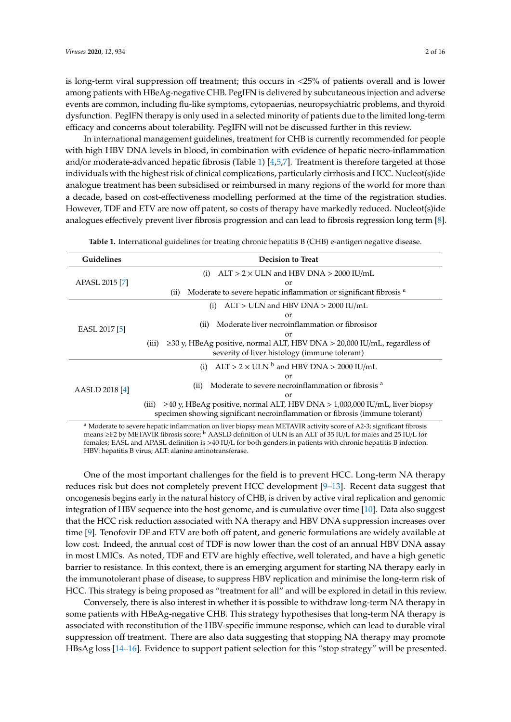is long-term viral suppression off treatment; this occurs in <25% of patients overall and is lower among patients with HBeAg-negative CHB. PegIFN is delivered by subcutaneous injection and adverse events are common, including flu-like symptoms, cytopaenias, neuropsychiatric problems, and thyroid dysfunction. PegIFN therapy is only used in a selected minority of patients due to the limited long-term efficacy and concerns about tolerability. PegIFN will not be discussed further in this review.

In international management guidelines, treatment for CHB is currently recommended for people with high HBV DNA levels in blood, in combination with evidence of hepatic necro-inflammation and/or moderate-advanced hepatic fibrosis (Table [1\)](#page-1-0) [\[4](#page-10-3)[,5](#page-11-0)[,7\]](#page-11-2). Treatment is therefore targeted at those individuals with the highest risk of clinical complications, particularly cirrhosis and HCC. Nucleot(s)ide analogue treatment has been subsidised or reimbursed in many regions of the world for more than a decade, based on cost-effectiveness modelling performed at the time of the registration studies. However, TDF and ETV are now off patent, so costs of therapy have markedly reduced. Nucleot(s)ide analogues effectively prevent liver fibrosis progression and can lead to fibrosis regression long term [\[8\]](#page-11-3).

<span id="page-1-0"></span>

| Guidelines     | <b>Decision to Treat</b>                                                                                                                 |  |  |  |  |
|----------------|------------------------------------------------------------------------------------------------------------------------------------------|--|--|--|--|
|                | $ALT > 2 \times ULN$ and HBV DNA $> 2000$ IU/mL<br>(i)                                                                                   |  |  |  |  |
| APASL 2015 [7] | or                                                                                                                                       |  |  |  |  |
|                | Moderate to severe hepatic inflammation or significant fibrosis <sup>a</sup><br>(ii)                                                     |  |  |  |  |
|                | $ALT > ULN$ and HBV DNA $> 2000$ IU/mL<br>(i)                                                                                            |  |  |  |  |
|                | or                                                                                                                                       |  |  |  |  |
| EASL 2017 [5]  | Moderate liver necroinflammation or fibrosisor<br>(i)                                                                                    |  |  |  |  |
|                | or                                                                                                                                       |  |  |  |  |
|                | $\geq$ 30 y, HBeAg positive, normal ALT, HBV DNA > 20,000 IU/mL, regardless of<br>(iii)<br>severity of liver histology (immune tolerant) |  |  |  |  |
|                |                                                                                                                                          |  |  |  |  |
|                | ALT > 2 $\times$ ULN $^{\rm b}$ and HBV DNA > 2000 IU/mL<br>(i)                                                                          |  |  |  |  |
|                | or                                                                                                                                       |  |  |  |  |
| AASLD 2018 [4] | Moderate to severe necroinflammation or fibrosis <sup>a</sup><br>(ii)                                                                    |  |  |  |  |
|                | or                                                                                                                                       |  |  |  |  |
|                | $\geq$ 40 y, HBeAg positive, normal ALT, HBV DNA > 1,000,000 IU/mL, liver biopsy<br>(iii)                                                |  |  |  |  |
|                | specimen showing significant necroinflammation or fibrosis (immune tolerant)                                                             |  |  |  |  |

**Table 1.** International guidelines for treating chronic hepatitis B (CHB) e-antigen negative disease.

<sup>a</sup> Moderate to severe hepatic inflammation on liver biopsy mean METAVIR activity score of A2-3; significant fibrosis means ≥F2 by METAVIR fibrosis score; <sup>b</sup> AASLD definition of ULN is an ALT of 35 IU/L for males and 25 IU/L for females; EASL and APASL definition is >40 IU/L for both genders in patients with chronic hepatitis B infection. HBV: hepatitis B virus; ALT: alanine aminotransferase.

One of the most important challenges for the field is to prevent HCC. Long-term NA therapy reduces risk but does not completely prevent HCC development [\[9–](#page-11-4)[13\]](#page-11-5). Recent data suggest that oncogenesis begins early in the natural history of CHB, is driven by active viral replication and genomic integration of HBV sequence into the host genome, and is cumulative over time [\[10\]](#page-11-6). Data also suggest that the HCC risk reduction associated with NA therapy and HBV DNA suppression increases over time [\[9\]](#page-11-4). Tenofovir DF and ETV are both off patent, and generic formulations are widely available at low cost. Indeed, the annual cost of TDF is now lower than the cost of an annual HBV DNA assay in most LMICs. As noted, TDF and ETV are highly effective, well tolerated, and have a high genetic barrier to resistance. In this context, there is an emerging argument for starting NA therapy early in the immunotolerant phase of disease, to suppress HBV replication and minimise the long-term risk of HCC. This strategy is being proposed as "treatment for all" and will be explored in detail in this review.

Conversely, there is also interest in whether it is possible to withdraw long-term NA therapy in some patients with HBeAg-negative CHB. This strategy hypothesises that long-term NA therapy is associated with reconstitution of the HBV-specific immune response, which can lead to durable viral suppression off treatment. There are also data suggesting that stopping NA therapy may promote HBsAg loss [\[14](#page-11-7)[–16\]](#page-11-8). Evidence to support patient selection for this "stop strategy" will be presented.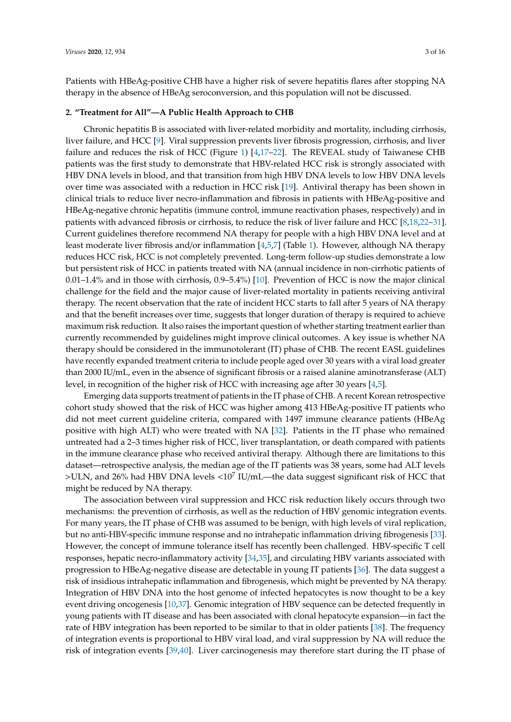Patients with HBeAg-positive CHB have a higher risk of severe hepatitis flares after stopping NA therapy in the absence of HBeAg seroconversion, and this population will not be discussed.

#### **2. "Treatment for All"—A Public Health Approach to CHB**

Chronic hepatitis B is associated with liver-related morbidity and mortality, including cirrhosis, liver failure, and HCC [\[9\]](#page-11-4). Viral suppression prevents liver fibrosis progression, cirrhosis, and liver failure and reduces the risk of HCC (Figure [1\)](#page-3-0) [\[4](#page-10-3)[,17](#page-11-9)[–22\]](#page-11-10). The REVEAL study of Taiwanese CHB patients was the first study to demonstrate that HBV-related HCC risk is strongly associated with HBV DNA levels in blood, and that transition from high HBV DNA levels to low HBV DNA levels over time was associated with a reduction in HCC risk [\[19\]](#page-11-11). Antiviral therapy has been shown in clinical trials to reduce liver necro-inflammation and fibrosis in patients with HBeAg-positive and HBeAg-negative chronic hepatitis (immune control, immune reactivation phases, respectively) and in patients with advanced fibrosis or cirrhosis, to reduce the risk of liver failure and HCC [\[8,](#page-11-3)[18,](#page-11-12)[22–](#page-11-10)[31\]](#page-12-0). Current guidelines therefore recommend NA therapy for people with a high HBV DNA level and at least moderate liver fibrosis and/or inflammation [\[4,](#page-10-3)[5](#page-11-0)[,7\]](#page-11-2) (Table [1\)](#page-1-0). However, although NA therapy reduces HCC risk, HCC is not completely prevented. Long-term follow-up studies demonstrate a low but persistent risk of HCC in patients treated with NA (annual incidence in non-cirrhotic patients of 0.01–1.4% and in those with cirrhosis, 0.9–5.4%) [\[10\]](#page-11-6). Prevention of HCC is now the major clinical challenge for the field and the major cause of liver-related mortality in patients receiving antiviral therapy. The recent observation that the rate of incident HCC starts to fall after 5 years of NA therapy and that the benefit increases over time, suggests that longer duration of therapy is required to achieve maximum risk reduction. It also raises the important question of whether starting treatment earlier than currently recommended by guidelines might improve clinical outcomes. A key issue is whether NA therapy should be considered in the immunotolerant (IT) phase of CHB. The recent EASL guidelines have recently expanded treatment criteria to include people aged over 30 years with a viral load greater than 2000 IU/mL, even in the absence of significant fibrosis or a raised alanine aminotransferase (ALT) level, in recognition of the higher risk of HCC with increasing age after 30 years [\[4](#page-10-3)[,5\]](#page-11-0).

Emerging data supports treatment of patients in the IT phase of CHB. A recent Korean retrospective cohort study showed that the risk of HCC was higher among 413 HBeAg-positive IT patients who did not meet current guideline criteria, compared with 1497 immune clearance patients (HBeAg positive with high ALT) who were treated with NA [\[32\]](#page-12-1). Patients in the IT phase who remained untreated had a 2–3 times higher risk of HCC, liver transplantation, or death compared with patients in the immune clearance phase who received antiviral therapy. Although there are limitations to this dataset—retrospective analysis, the median age of the IT patients was 38 years, some had ALT levels >ULN, and 26% had HBV DNA levels <10<sup>7</sup> IU/mL—the data suggest significant risk of HCC that might be reduced by NA therapy.

The association between viral suppression and HCC risk reduction likely occurs through two mechanisms: the prevention of cirrhosis, as well as the reduction of HBV genomic integration events. For many years, the IT phase of CHB was assumed to be benign, with high levels of viral replication, but no anti-HBV-specific immune response and no intrahepatic inflammation driving fibrogenesis [\[33\]](#page-12-2). However, the concept of immune tolerance itself has recently been challenged. HBV-specific T cell responses, hepatic necro-inflammatory activity [\[34,](#page-12-3)[35\]](#page-12-4), and circulating HBV variants associated with progression to HBeAg-negative disease are detectable in young IT patients [\[36\]](#page-12-5). The data suggest a risk of insidious intrahepatic inflammation and fibrogenesis, which might be prevented by NA therapy. Integration of HBV DNA into the host genome of infected hepatocytes is now thought to be a key event driving oncogenesis [\[10](#page-11-6)[,37\]](#page-12-6). Genomic integration of HBV sequence can be detected frequently in young patients with IT disease and has been associated with clonal hepatocyte expansion—in fact the rate of HBV integration has been reported to be similar to that in older patients [\[38\]](#page-12-7). The frequency of integration events is proportional to HBV viral load, and viral suppression by NA will reduce the risk of integration events [\[39,](#page-12-8)[40\]](#page-12-9). Liver carcinogenesis may therefore start during the IT phase of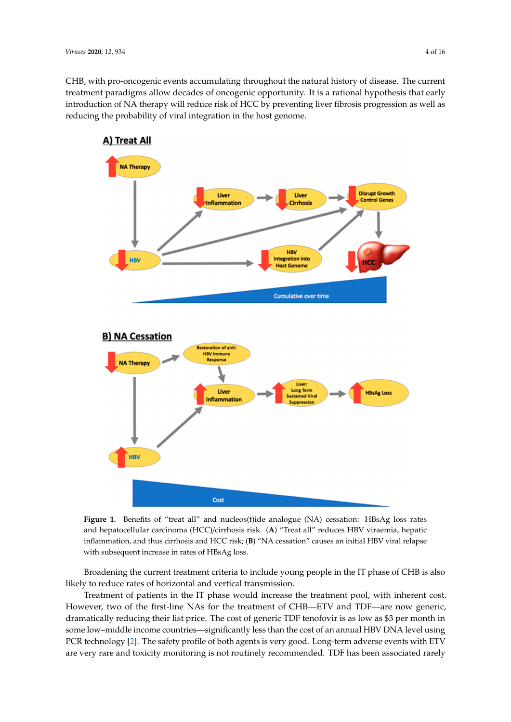CHB, with pro-oncogenic events accumulating throughout the natural history of disease. The current treatment paradigms allow decades of oncogenic opportunity. It is a rational hypothesis that early introduction of NA therapy will reduce risk of HCC by preventing liver fibrosis progression as well as meanwhere is the merry y will connect the corresponding the management reducing the progression reducing the probability of viral integration in the host genome.

<span id="page-3-0"></span>

and hepatocellular carcinoma (HCC)/cirrhosis risk. (A) "Treat all" reduces HBV viraemia, hepatic inflammation, and thus cirrhosis and HCC risk; (B) "NA cessation" causes an initial HBV viral relapse with subsequent increase in rates of HBsAg loss. Figure 1. Benefits of "treat all" and nucleos(t)ide analogue (NA) cessation: HBsAg loss rates

likely to reduce rates of horizontal and vertical transmission. Broadening the current treatment criteria to include young people in the IT phase of CHB is also

Treatment of patients in the IT phase would increase the treatment pool, with inherent cost. However, two of the first-line NAs for the treatment of CHB—ETV and TDF—are now generic, However, two of the first-line NAs for the treatment of CHB—ETV and TDF—are now generic,<br>dramatically reducing their list price. The cost of generic TDF tenofovir is as low as \$3 per month in some low–middle income countries—significantly less than the cost of an annual HBV DNA level using PCR technology [2]. The safety profi[le](#page-10-1) of both agents is very good. Long-term adverse events with ETV are very rare and toxicity monitoring is not routinely recommended. TDF has been associated rarely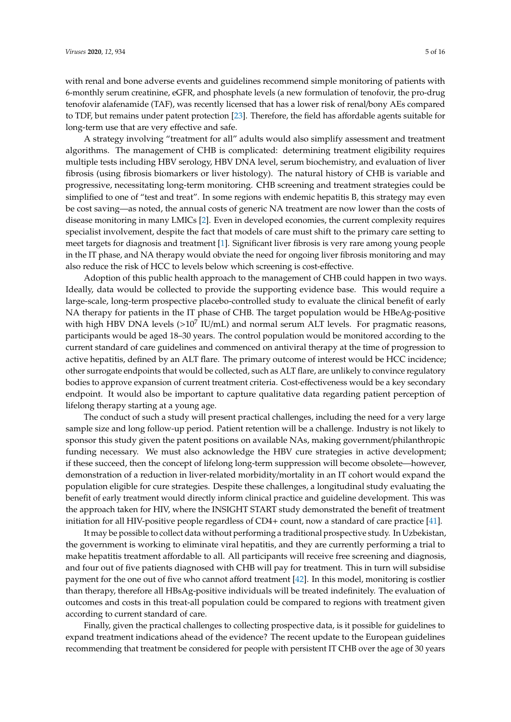long-term use that are very effective and safe.

with renal and bone adverse events and guidelines recommend simple monitoring of patients with 6-monthly serum creatinine, eGFR, and phosphate levels (a new formulation of tenofovir, the pro-drug tenofovir alafenamide (TAF), was recently licensed that has a lower risk of renal/bony AEs compared to TDF, but remains under patent protection [\[23\]](#page-11-13). Therefore, the field has affordable agents suitable for

A strategy involving "treatment for all" adults would also simplify assessment and treatment algorithms. The management of CHB is complicated: determining treatment eligibility requires multiple tests including HBV serology, HBV DNA level, serum biochemistry, and evaluation of liver fibrosis (using fibrosis biomarkers or liver histology). The natural history of CHB is variable and progressive, necessitating long-term monitoring. CHB screening and treatment strategies could be simplified to one of "test and treat". In some regions with endemic hepatitis B, this strategy may even be cost saving—as noted, the annual costs of generic NA treatment are now lower than the costs of disease monitoring in many LMICs [\[2\]](#page-10-1). Even in developed economies, the current complexity requires specialist involvement, despite the fact that models of care must shift to the primary care setting to meet targets for diagnosis and treatment [\[1\]](#page-10-0). Significant liver fibrosis is very rare among young people in the IT phase, and NA therapy would obviate the need for ongoing liver fibrosis monitoring and may also reduce the risk of HCC to levels below which screening is cost-effective.

Adoption of this public health approach to the management of CHB could happen in two ways. Ideally, data would be collected to provide the supporting evidence base. This would require a large-scale, long-term prospective placebo-controlled study to evaluate the clinical benefit of early NA therapy for patients in the IT phase of CHB. The target population would be HBeAg-positive with high HBV DNA levels  $(>10^7 \text{ IU/mL})$  and normal serum ALT levels. For pragmatic reasons, participants would be aged 18–30 years. The control population would be monitored according to the current standard of care guidelines and commenced on antiviral therapy at the time of progression to active hepatitis, defined by an ALT flare. The primary outcome of interest would be HCC incidence; other surrogate endpoints that would be collected, such as ALT flare, are unlikely to convince regulatory bodies to approve expansion of current treatment criteria. Cost-effectiveness would be a key secondary endpoint. It would also be important to capture qualitative data regarding patient perception of lifelong therapy starting at a young age.

The conduct of such a study will present practical challenges, including the need for a very large sample size and long follow-up period. Patient retention will be a challenge. Industry is not likely to sponsor this study given the patent positions on available NAs, making government/philanthropic funding necessary. We must also acknowledge the HBV cure strategies in active development; if these succeed, then the concept of lifelong long-term suppression will become obsolete—however, demonstration of a reduction in liver-related morbidity/mortality in an IT cohort would expand the population eligible for cure strategies. Despite these challenges, a longitudinal study evaluating the benefit of early treatment would directly inform clinical practice and guideline development. This was the approach taken for HIV, where the INSIGHT START study demonstrated the benefit of treatment initiation for all HIV-positive people regardless of CD4+ count, now a standard of care practice [\[41\]](#page-12-10).

It may be possible to collect data without performing a traditional prospective study. In Uzbekistan, the government is working to eliminate viral hepatitis, and they are currently performing a trial to make hepatitis treatment affordable to all. All participants will receive free screening and diagnosis, and four out of five patients diagnosed with CHB will pay for treatment. This in turn will subsidise payment for the one out of five who cannot afford treatment [\[42\]](#page-12-11). In this model, monitoring is costlier than therapy, therefore all HBsAg-positive individuals will be treated indefinitely. The evaluation of outcomes and costs in this treat-all population could be compared to regions with treatment given according to current standard of care.

Finally, given the practical challenges to collecting prospective data, is it possible for guidelines to expand treatment indications ahead of the evidence? The recent update to the European guidelines recommending that treatment be considered for people with persistent IT CHB over the age of 30 years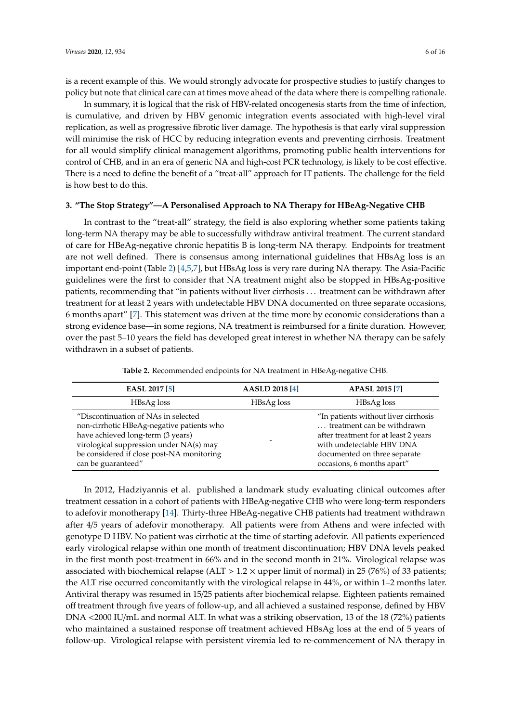is a recent example of this. We would strongly advocate for prospective studies to justify changes to policy but note that clinical care can at times move ahead of the data where there is compelling rationale.

In summary, it is logical that the risk of HBV-related oncogenesis starts from the time of infection, is cumulative, and driven by HBV genomic integration events associated with high-level viral replication, as well as progressive fibrotic liver damage. The hypothesis is that early viral suppression will minimise the risk of HCC by reducing integration events and preventing cirrhosis. Treatment for all would simplify clinical management algorithms, promoting public health interventions for control of CHB, and in an era of generic NA and high-cost PCR technology, is likely to be cost effective. There is a need to define the benefit of a "treat-all" approach for IT patients. The challenge for the field is how best to do this.

## **3. "The Stop Strategy"—A Personalised Approach to NA Therapy for HBeAg-Negative CHB**

In contrast to the "treat-all" strategy, the field is also exploring whether some patients taking long-term NA therapy may be able to successfully withdraw antiviral treatment. The current standard of care for HBeAg-negative chronic hepatitis B is long-term NA therapy. Endpoints for treatment are not well defined. There is consensus among international guidelines that HBsAg loss is an important end-point (Table [2\)](#page-5-0) [\[4](#page-10-3)[,5](#page-11-0)[,7\]](#page-11-2), but HBsAg loss is very rare during NA therapy. The Asia-Pacific guidelines were the first to consider that NA treatment might also be stopped in HBsAg-positive patients, recommending that "in patients without liver cirrhosis . . . treatment can be withdrawn after treatment for at least 2 years with undetectable HBV DNA documented on three separate occasions, 6 months apart" [\[7\]](#page-11-2). This statement was driven at the time more by economic considerations than a strong evidence base—in some regions, NA treatment is reimbursed for a finite duration. However, over the past 5–10 years the field has developed great interest in whether NA therapy can be safely withdrawn in a subset of patients.

<span id="page-5-0"></span>

| <b>EASL 2017</b> [5]                                                                                                                                                                                                                | <b>AASLD 2018 [4]</b> | <b>APASL 2015 [7]</b>                                                                                                                                                                                 |
|-------------------------------------------------------------------------------------------------------------------------------------------------------------------------------------------------------------------------------------|-----------------------|-------------------------------------------------------------------------------------------------------------------------------------------------------------------------------------------------------|
| HBsAg loss                                                                                                                                                                                                                          | HBsAg loss            | HBsAg loss                                                                                                                                                                                            |
| "Discontinuation of NAs in selected<br>non-cirrhotic HBeAg-negative patients who<br>have achieved long-term (3 years)<br>virological suppression under NA(s) may<br>be considered if close post-NA monitoring<br>can be guaranteed" |                       | "In patients without liver cirrhosis<br>treatment can be withdrawn<br>after treatment for at least 2 years<br>with undetectable HBV DNA<br>documented on three separate<br>occasions, 6 months apart" |

**Table 2.** Recommended endpoints for NA treatment in HBeAg-negative CHB.

In 2012, Hadziyannis et al. published a landmark study evaluating clinical outcomes after treatment cessation in a cohort of patients with HBeAg-negative CHB who were long-term responders to adefovir monotherapy [\[14\]](#page-11-7). Thirty-three HBeAg-negative CHB patients had treatment withdrawn after 4/5 years of adefovir monotherapy. All patients were from Athens and were infected with genotype D HBV. No patient was cirrhotic at the time of starting adefovir. All patients experienced early virological relapse within one month of treatment discontinuation; HBV DNA levels peaked in the first month post-treatment in 66% and in the second month in 21%. Virological relapse was associated with biochemical relapse (ALT  $> 1.2 \times$  upper limit of normal) in 25 (76%) of 33 patients; the ALT rise occurred concomitantly with the virological relapse in 44%, or within 1–2 months later. Antiviral therapy was resumed in 15/25 patients after biochemical relapse. Eighteen patients remained off treatment through five years of follow-up, and all achieved a sustained response, defined by HBV DNA <2000 IU/mL and normal ALT. In what was a striking observation, 13 of the 18 (72%) patients who maintained a sustained response off treatment achieved HBsAg loss at the end of 5 years of follow-up. Virological relapse with persistent viremia led to re-commencement of NA therapy in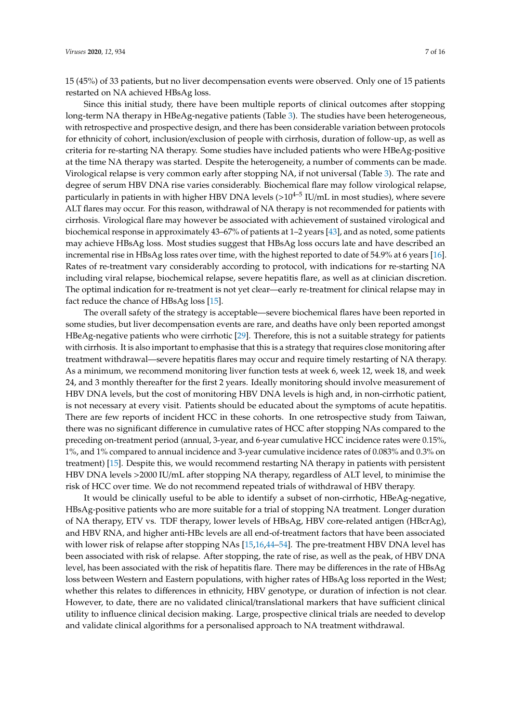15 (45%) of 33 patients, but no liver decompensation events were observed. Only one of 15 patients restarted on NA achieved HBsAg loss.

Since this initial study, there have been multiple reports of clinical outcomes after stopping long-term NA therapy in HBeAg-negative patients (Table [3\)](#page-9-0). The studies have been heterogeneous, with retrospective and prospective design, and there has been considerable variation between protocols for ethnicity of cohort, inclusion/exclusion of people with cirrhosis, duration of follow-up, as well as criteria for re-starting NA therapy. Some studies have included patients who were HBeAg-positive at the time NA therapy was started. Despite the heterogeneity, a number of comments can be made. Virological relapse is very common early after stopping NA, if not universal (Table [3\)](#page-9-0). The rate and degree of serum HBV DNA rise varies considerably. Biochemical flare may follow virological relapse, particularly in patients in with higher HBV DNA levels  $(>10^{4-5}$  IU/mL in most studies), where severe ALT flares may occur. For this reason, withdrawal of NA therapy is not recommended for patients with cirrhosis. Virological flare may however be associated with achievement of sustained virological and biochemical response in approximately 43–67% of patients at 1–2 years [\[43\]](#page-12-12), and as noted, some patients may achieve HBsAg loss. Most studies suggest that HBsAg loss occurs late and have described an incremental rise in HBsAg loss rates over time, with the highest reported to date of 54.9% at 6 years [\[16\]](#page-11-8). Rates of re-treatment vary considerably according to protocol, with indications for re-starting NA including viral relapse, biochemical relapse, severe hepatitis flare, as well as at clinician discretion. The optimal indication for re-treatment is not yet clear—early re-treatment for clinical relapse may in fact reduce the chance of HBsAg loss [\[15\]](#page-11-14).

The overall safety of the strategy is acceptable—severe biochemical flares have been reported in some studies, but liver decompensation events are rare, and deaths have only been reported amongst HBeAg-negative patients who were cirrhotic [\[29\]](#page-12-13). Therefore, this is not a suitable strategy for patients with cirrhosis. It is also important to emphasise that this is a strategy that requires close monitoring after treatment withdrawal—severe hepatitis flares may occur and require timely restarting of NA therapy. As a minimum, we recommend monitoring liver function tests at week 6, week 12, week 18, and week 24, and 3 monthly thereafter for the first 2 years. Ideally monitoring should involve measurement of HBV DNA levels, but the cost of monitoring HBV DNA levels is high and, in non-cirrhotic patient, is not necessary at every visit. Patients should be educated about the symptoms of acute hepatitis. There are few reports of incident HCC in these cohorts. In one retrospective study from Taiwan, there was no significant difference in cumulative rates of HCC after stopping NAs compared to the preceding on-treatment period (annual, 3-year, and 6-year cumulative HCC incidence rates were 0.15%, 1%, and 1% compared to annual incidence and 3-year cumulative incidence rates of 0.083% and 0.3% on treatment) [\[15\]](#page-11-14). Despite this, we would recommend restarting NA therapy in patients with persistent HBV DNA levels >2000 IU/mL after stopping NA therapy, regardless of ALT level, to minimise the risk of HCC over time. We do not recommend repeated trials of withdrawal of HBV therapy.

It would be clinically useful to be able to identify a subset of non-cirrhotic, HBeAg-negative, HBsAg-positive patients who are more suitable for a trial of stopping NA treatment. Longer duration of NA therapy, ETV vs. TDF therapy, lower levels of HBsAg, HBV core-related antigen (HBcrAg), and HBV RNA, and higher anti-HBc levels are all end-of-treatment factors that have been associated with lower risk of relapse after stopping NAs [\[15,](#page-11-14)[16,](#page-11-8)[44](#page-12-14)[–54\]](#page-13-0). The pre-treatment HBV DNA level has been associated with risk of relapse. After stopping, the rate of rise, as well as the peak, of HBV DNA level, has been associated with the risk of hepatitis flare. There may be differences in the rate of HBsAg loss between Western and Eastern populations, with higher rates of HBsAg loss reported in the West; whether this relates to differences in ethnicity, HBV genotype, or duration of infection is not clear. However, to date, there are no validated clinical/translational markers that have sufficient clinical utility to influence clinical decision making. Large, prospective clinical trials are needed to develop and validate clinical algorithms for a personalised approach to NA treatment withdrawal.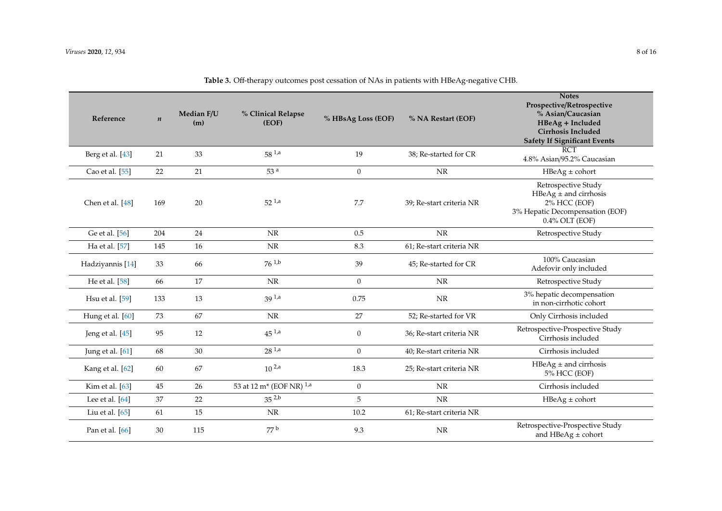| Reference                   | $\boldsymbol{n}$ | Median F/U<br>(m) | % Clinical Relapse<br>(EOF)                     | % HBsAg Loss (EOF) | % NA Restart (EOF)       | <b>Notes</b><br>Prospective/Retrospective<br>% Asian/Caucasian<br>HBeAg + Included<br><b>Cirrhosis Included</b><br><b>Safety If Significant Events</b> |
|-----------------------------|------------------|-------------------|-------------------------------------------------|--------------------|--------------------------|--------------------------------------------------------------------------------------------------------------------------------------------------------|
| Berg et al. [43]            | 21               | 33                | $58^{1,a}$                                      | 19                 | 38: Re-started for CR    | $\overline{RCT}$<br>4.8% Asian/95.2% Caucasian                                                                                                         |
| Cao et al. [55]             | 22               | 21                | 53 <sup>a</sup>                                 | $\overline{0}$     | <b>NR</b>                | $HBeAg \pm \text{cohort}$                                                                                                                              |
| Chen et al. [48]            | 169              | 20                | $52^{1,a}$                                      | 7.7                | 39; Re-start criteria NR | Retrospective Study<br>$HBeAg \pm$ and cirrhosis<br>2% HCC (EOF)<br>3% Hepatic Decompensation (EOF)<br>$0.4\%$ OLT (EOF)                               |
| Ge et al. [56]              | 204              | 24                | NR                                              | 0.5                | <b>NR</b>                | Retrospective Study                                                                                                                                    |
| Ha et al. [57]              | 145              | 16                | NR                                              | 8.3                | 61; Re-start criteria NR |                                                                                                                                                        |
| Hadziyannis <sup>[14]</sup> | 33               | 66                | $76^{1,b}$                                      | 39                 | 45; Re-started for CR    | 100% Caucasian<br>Adefovir only included                                                                                                               |
| He et al. [58]              | 66               | 17                | NR                                              | $\overline{0}$     | <b>NR</b>                | Retrospective Study                                                                                                                                    |
| Hsu et al. [59]             | 133              | 13                | $39^{1,a}$                                      | 0.75               | <b>NR</b>                | 3% hepatic decompensation<br>in non-cirrhotic cohort                                                                                                   |
| Hung et al. [60]            | 73               | 67                | <b>NR</b>                                       | 27                 | 52; Re-started for VR    | Only Cirrhosis included                                                                                                                                |
| Jeng et al. [45]            | 95               | 12                | $45^{1,a}$                                      | $\boldsymbol{0}$   | 36; Re-start criteria NR | Retrospective-Prospective Study<br>Cirrhosis included                                                                                                  |
| Jung et al. [61]            | 68               | 30                | $28^{1,a}$                                      | $\mathbf{0}$       | 40; Re-start criteria NR | Cirrhosis included                                                                                                                                     |
| Kang et al. [62]            | 60               | 67                | $10^{2,a}$                                      | 18.3               | 25; Re-start criteria NR | $HBeAg \pm$ and cirrhosis<br>5% HCC (EOF)                                                                                                              |
| Kim et al. [63]             | 45               | 26                | 53 at 12 m <sup>*</sup> (EOF NR) <sup>1,a</sup> | $\mathbf{0}$       | <b>NR</b>                | Cirrhosis included                                                                                                                                     |
| Lee et al. $[64]$           | 37               | 22                | $35^{2,b}$                                      | 5                  | <b>NR</b>                | $HBeAg \pm \text{cohort}$                                                                                                                              |
| Liu et al. $[65]$           | 61               | 15                | NR                                              | 10.2               | 61; Re-start criteria NR |                                                                                                                                                        |
| Pan et al. [66]             | 30               | 115               | 77 <sup>b</sup>                                 | 9.3                | <b>NR</b>                | Retrospective-Prospective Study<br>and $HBeAg \pm \text{cohort}$                                                                                       |

**Table 3.** Off-therapy outcomes post cessation of NAs in patients with HBeAg-negative CHB.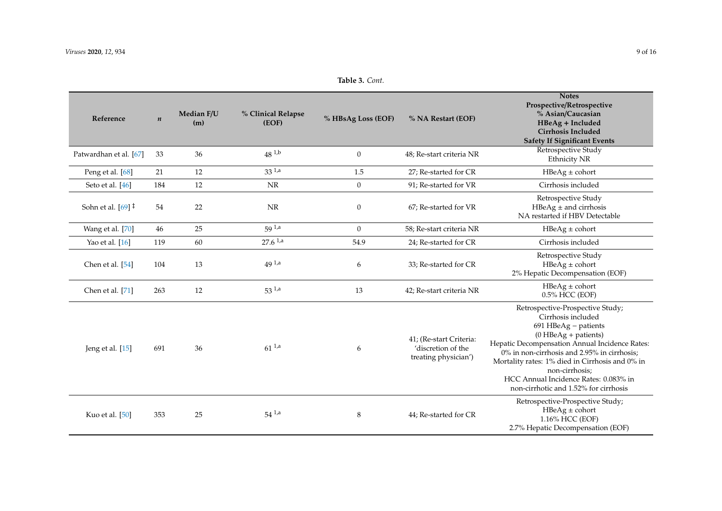| Reference                                           | $\boldsymbol{n}$ | Median F/U<br>(m) | % Clinical Relapse<br>(EOF) | % HBsAg Loss (EOF) | % NA Restart (EOF)                                                    | <b>Notes</b><br>Prospective/Retrospective<br>% Asian/Caucasian<br>HBeAg + Included<br><b>Cirrhosis Included</b><br><b>Safety If Significant Events</b>                                                                                                                                                                    |
|-----------------------------------------------------|------------------|-------------------|-----------------------------|--------------------|-----------------------------------------------------------------------|---------------------------------------------------------------------------------------------------------------------------------------------------------------------------------------------------------------------------------------------------------------------------------------------------------------------------|
| Patwardhan et al. [67]                              | 33               | 36                | $48^{1,b}$                  | $\boldsymbol{0}$   | 48; Re-start criteria NR                                              | Retrospective Study<br><b>Ethnicity NR</b>                                                                                                                                                                                                                                                                                |
| Peng et al. [68]                                    | 21               | 12                | $33^{1,a}$                  | 1.5                | 27; Re-started for CR                                                 | $HBeAg \pm \text{cohort}$                                                                                                                                                                                                                                                                                                 |
| Seto et al. [46]                                    | 184              | 12                | <b>NR</b>                   | $\overline{0}$     | 91; Re-started for VR                                                 | Cirrhosis included                                                                                                                                                                                                                                                                                                        |
| Sohn et al. $[69]$ <sup><math>\ddagger</math></sup> | 54               | 22                | <b>NR</b>                   | $\boldsymbol{0}$   | 67; Re-started for VR                                                 | Retrospective Study<br>$HBeAg \pm$ and cirrhosis<br>NA restarted if HBV Detectable                                                                                                                                                                                                                                        |
| Wang et al. [70]                                    | 46               | 25                | $59^{1,a}$                  | $\boldsymbol{0}$   | 58; Re-start criteria NR                                              | $HBeAg \pm \text{cohort}$                                                                                                                                                                                                                                                                                                 |
| Yao et al. [16]                                     | 119              | 60                | $27.6$ <sup>1,a</sup>       | 54.9               | 24; Re-started for CR                                                 | Cirrhosis included                                                                                                                                                                                                                                                                                                        |
| Chen et al. [54]                                    | 104              | 13                | $49^{1,a}$                  | 6                  | 33; Re-started for CR                                                 | Retrospective Study<br>$HBeAg \pm \text{cohort}$<br>2% Hepatic Decompensation (EOF)                                                                                                                                                                                                                                       |
| Chen et al. [71]                                    | 263              | 12                | $53^{1,a}$                  | 13                 | 42; Re-start criteria NR                                              | $HBeAg \pm \text{cohort}$<br>0.5% HCC (EOF)                                                                                                                                                                                                                                                                               |
| Jeng et al. [15]                                    | 691              | 36                | $61^{1,a}$                  | 6                  | 41; (Re-start Criteria:<br>'discretion of the<br>treating physician') | Retrospective-Prospective Study;<br>Cirrhosis included<br>$691$ HBeAg – patients<br>$(0 HBeAg + patients)$<br>Hepatic Decompensation Annual Incidence Rates:<br>0% in non-cirrhosis and 2.95% in cirrhosis;<br>Mortality rates: 1% died in Cirrhosis and 0% in<br>non-cirrhosis;<br>HCC Annual Incidence Rates: 0.083% in |

Kuo et al. [\[50\]](#page-13-10)  $353$  25  $54^{1,a}$  8  $44;$  Re-started for CR

non-cirrhotic and 1.52% for cirrhosis

Retrospective-Prospective Study;  $HBeAg \pm \text{chort}$ 1.16% HCC (EOF) 2.7% Hepatic Decompensation (EOF)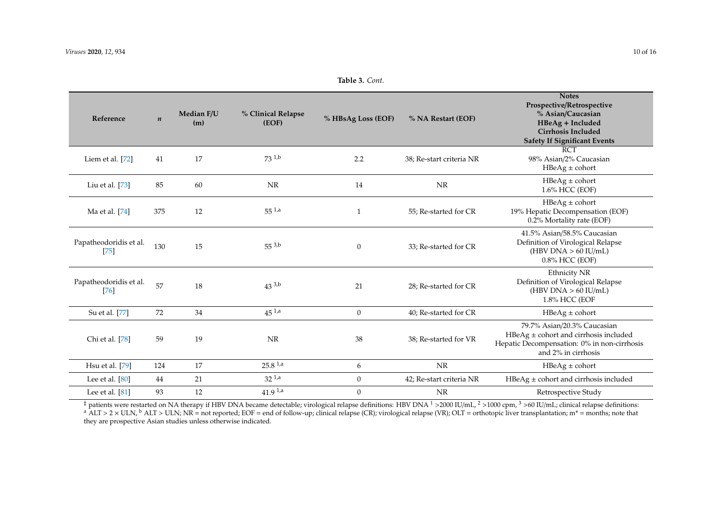| Table 3. Cont. |  |
|----------------|--|
|----------------|--|

| Reference                        | $\boldsymbol{n}$ | Median F/U<br>(m) | % Clinical Relapse<br>(EOF) | % HBsAg Loss (EOF) | % NA Restart (EOF)       | <b>Notes</b><br>Prospective/Retrospective<br>% Asian/Caucasian<br>HBeAg + Included<br><b>Cirrhosis Included</b><br><b>Safety If Significant Events</b> |
|----------------------------------|------------------|-------------------|-----------------------------|--------------------|--------------------------|--------------------------------------------------------------------------------------------------------------------------------------------------------|
| Liem et al. [72]                 | 41               | 17                | $73^{1,b}$                  | 2.2                | 38; Re-start criteria NR | <b>RCT</b><br>98% Asian/2% Caucasian<br>$HBeAg \pm \text{cohort}$                                                                                      |
| Liu et al. [73]                  | 85               | 60                | NR                          | 14                 | <b>NR</b>                | $HBeAg \pm \text{cohort}$<br>1.6% HCC (EOF)                                                                                                            |
| Ma et al. [74]                   | 375              | 12                | $55^{1,a}$                  | 1                  | 55; Re-started for CR    | $HBeAg \pm \text{cohort}$<br>19% Hepatic Decompensation (EOF)<br>0.2% Mortality rate (EOF)                                                             |
| Papatheodoridis et al.<br>$[75]$ | 130              | 15                | $55^{3,b}$                  | $\mathbf{0}$       | 33; Re-started for CR    | 41.5% Asian/58.5% Caucasian<br>Definition of Virological Relapse<br>(HBV DNA > 60 IU/mL)<br>0.8% HCC (EOF)                                             |
| Papatheodoridis et al.<br>[76]   | 57               | 18                | $43^{3,b}$                  | 21                 | 28; Re-started for CR    | <b>Ethnicity NR</b><br>Definition of Virological Relapse<br>(HBV DNA > 60 IU/mL)<br>1.8% HCC (EOF                                                      |
| Su et al. [77]                   | $72\,$           | 34                | $45^{1,a}$                  | $\overline{0}$     | 40; Re-started for CR    | $HBeAg \pm \text{cohort}$                                                                                                                              |
| Chi et al. [78]                  | 59               | 19                | NR                          | 38                 | 38; Re-started for VR    | 79.7% Asian/20.3% Caucasian<br>$HBeAg \pm$ cohort and cirrhosis included<br>Hepatic Decompensation: 0% in non-cirrhosis<br>and 2% in cirrhosis         |
| Hsu et al. [79]                  | 124              | 17                | $25.8$ <sup>1,a</sup>       | 6                  | $\rm{NR}$                | $HBeAg \pm \text{cohort}$                                                                                                                              |
| Lee et al. $[80]$                | 44               | 21                | $32^{1,a}$                  | $\mathbf{0}$       | 42; Re-start criteria NR | $HBeAg \pm$ cohort and cirrhosis included                                                                                                              |
| Lee et al. [81]                  | 93               | 12                | $41.9$ <sup>1,a</sup>       | $\mathbf{0}$       | <b>NR</b>                | Retrospective Study                                                                                                                                    |

<span id="page-9-0"></span> $\ddagger$  patients were restarted on NA therapy if HBV DNA became detectable; virological relapse definitions: HBV DNA  $^1$  >2000 IU/mL,  $^2$  >1000 cpm,  $^3$  >60 IU/mL; clinical relapse definitions:  $a \text{ }ALT > 2 \times \text{ULN}, b \text{ }ALT > \text{ULN}; \text{ NR} = \text{not reported}$ ; EOF = end of follow-up; clinical relapse (CR); virological relapse (VR); OLT = orthotopic liver transplantation; m\* = months; note that they are prospective Asian studies unless otherwise indicated.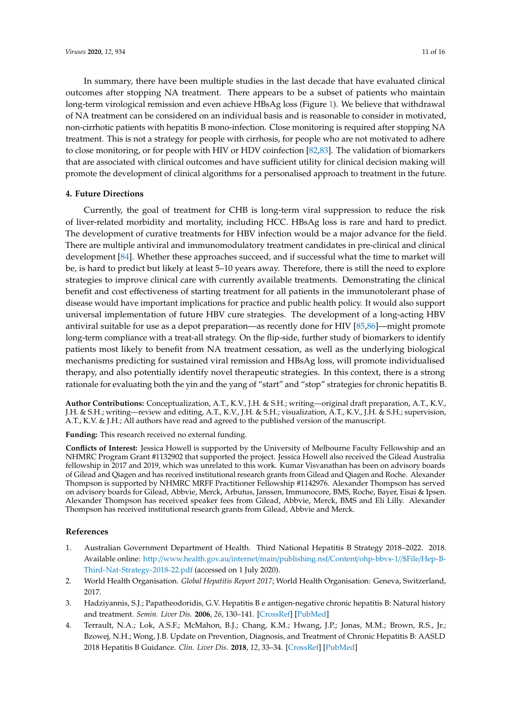In summary, there have been multiple studies in the last decade that have evaluated clinical outcomes after stopping NA treatment. There appears to be a subset of patients who maintain long-term virological remission and even achieve HBsAg loss (Figure [1\)](#page-3-0). We believe that withdrawal of NA treatment can be considered on an individual basis and is reasonable to consider in motivated, non-cirrhotic patients with hepatitis B mono-infection. Close monitoring is required after stopping NA treatment. This is not a strategy for people with cirrhosis, for people who are not motivated to adhere to close monitoring, or for people with HIV or HDV coinfection [\[82,](#page-15-4)[83\]](#page-15-5). The validation of biomarkers that are associated with clinical outcomes and have sufficient utility for clinical decision making will promote the development of clinical algorithms for a personalised approach to treatment in the future.

## **4. Future Directions**

Currently, the goal of treatment for CHB is long-term viral suppression to reduce the risk of liver-related morbidity and mortality, including HCC. HBsAg loss is rare and hard to predict. The development of curative treatments for HBV infection would be a major advance for the field. There are multiple antiviral and immunomodulatory treatment candidates in pre-clinical and clinical development [\[84\]](#page-15-6). Whether these approaches succeed, and if successful what the time to market will be, is hard to predict but likely at least 5–10 years away. Therefore, there is still the need to explore strategies to improve clinical care with currently available treatments. Demonstrating the clinical benefit and cost effectiveness of starting treatment for all patients in the immunotolerant phase of disease would have important implications for practice and public health policy. It would also support universal implementation of future HBV cure strategies. The development of a long-acting HBV antiviral suitable for use as a depot preparation—as recently done for HIV [\[85,](#page-15-7)[86\]](#page-15-8)—might promote long-term compliance with a treat-all strategy. On the flip-side, further study of biomarkers to identify patients most likely to benefit from NA treatment cessation, as well as the underlying biological mechanisms predicting for sustained viral remission and HBsAg loss, will promote individualised therapy, and also potentially identify novel therapeutic strategies. In this context, there is a strong rationale for evaluating both the yin and the yang of "start" and "stop" strategies for chronic hepatitis B.

**Author Contributions:** Conceptualization, A.T., K.V., J.H. & S.H.; writing—original draft preparation, A.T., K.V., J.H. & S.H.; writing—review and editing, A.T., K.V., J.H. & S.H.; visualization, A.T., K.V., J.H. & S.H.; supervision, A.T., K.V. & J.H.; All authors have read and agreed to the published version of the manuscript.

**Funding:** This research received no external funding.

**Conflicts of Interest:** Jessica Howell is supported by the University of Melbourne Faculty Fellowship and an NHMRC Program Grant #1132902 that supported the project. Jessica Howell also received the Gilead Australia fellowship in 2017 and 2019, which was unrelated to this work. Kumar Visvanathan has been on advisory boards of Gilead and Qiagen and has received institutional research grants from Gilead and Qiagen and Roche. Alexander Thompson is supported by NHMRC MRFF Practitioner Fellowship #1142976. Alexander Thompson has served on advisory boards for Gilead, Abbvie, Merck, Arbutus, Janssen, Immunocore, BMS, Roche, Bayer, Eisai & Ipsen. Alexander Thompson has received speaker fees from Gilead, Abbvie, Merck, BMS and Eli Lilly. Alexander Thompson has received institutional research grants from Gilead, Abbvie and Merck.

## **References**

- <span id="page-10-0"></span>1. Australian Government Department of Health. Third National Hepatitis B Strategy 2018–2022. 2018. Available online: http://[www.health.gov.au](http://www.health.gov.au/internet/main/publishing.nsf/Content/ohp-bbvs-1//$File/Hep-B-Third-Nat-Strategy-2018-22.pdf)/internet/main/publishing.nsf/Content/ohp-bbvs-1//\$File/Hep-B-[Third-Nat-Strategy-2018-22.pdf](http://www.health.gov.au/internet/main/publishing.nsf/Content/ohp-bbvs-1//$File/Hep-B-Third-Nat-Strategy-2018-22.pdf) (accessed on 1 July 2020).
- <span id="page-10-1"></span>2. World Health Organisation. *Global Hepatitis Report 2017*; World Health Organisation: Geneva, Switzerland, 2017.
- <span id="page-10-2"></span>3. Hadziyannis, S.J.; Papatheodoridis, G.V. Hepatitis B e antigen-negative chronic hepatitis B: Natural history and treatment. *Semin. Liver Dis.* **2006**, *26*, 130–141. [\[CrossRef\]](http://dx.doi.org/10.1055/s-2006-939751) [\[PubMed\]](http://www.ncbi.nlm.nih.gov/pubmed/16673291)
- <span id="page-10-3"></span>4. Terrault, N.A.; Lok, A.S.F.; McMahon, B.J.; Chang, K.M.; Hwang, J.P.; Jonas, M.M.; Brown, R.S., Jr.; Bzowej, N.H.; Wong, J.B. Update on Prevention, Diagnosis, and Treatment of Chronic Hepatitis B: AASLD 2018 Hepatitis B Guidance. *Clin. Liver Dis.* **2018**, *12*, 33–34. [\[CrossRef\]](http://dx.doi.org/10.1002/cld.728) [\[PubMed\]](http://www.ncbi.nlm.nih.gov/pubmed/30988907)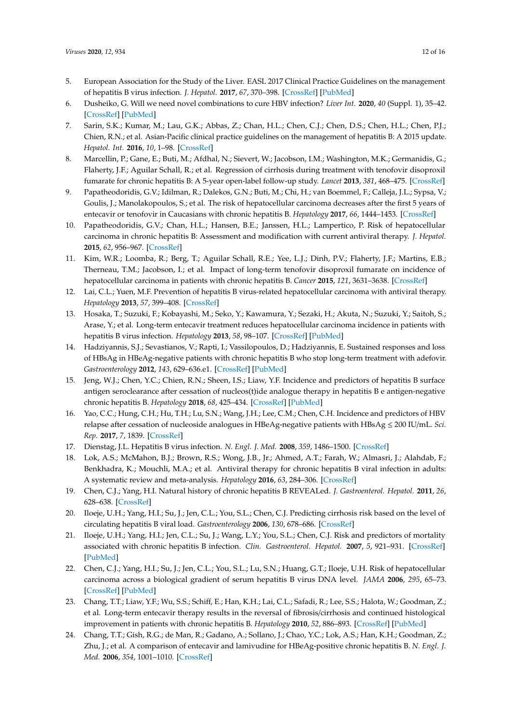- <span id="page-11-0"></span>5. European Association for the Study of the Liver. EASL 2017 Clinical Practice Guidelines on the management of hepatitis B virus infection. *J. Hepatol.* **2017**, *67*, 370–398. [\[CrossRef\]](http://dx.doi.org/10.1016/j.jhep.2017.03.021) [\[PubMed\]](http://www.ncbi.nlm.nih.gov/pubmed/28427875)
- <span id="page-11-1"></span>6. Dusheiko, G. Will we need novel combinations to cure HBV infection? *Liver Int.* **2020**, *40* (Suppl. 1), 35–42. [\[CrossRef\]](http://dx.doi.org/10.1111/liv.14371) [\[PubMed\]](http://www.ncbi.nlm.nih.gov/pubmed/32077595)
- <span id="page-11-15"></span><span id="page-11-2"></span>7. Sarin, S.K.; Kumar, M.; Lau, G.K.; Abbas, Z.; Chan, H.L.; Chen, C.J.; Chen, D.S.; Chen, H.L.; Chen, P.J.; Chien, R.N.; et al. Asian-Pacific clinical practice guidelines on the management of hepatitis B: A 2015 update. *Hepatol. Int.* **2016**, *10*, 1–98. [\[CrossRef\]](http://dx.doi.org/10.1007/s12072-015-9675-4)
- <span id="page-11-17"></span><span id="page-11-3"></span>8. Marcellin, P.; Gane, E.; Buti, M.; Afdhal, N.; Sievert, W.; Jacobson, I.M.; Washington, M.K.; Germanidis, G.; Flaherty, J.F.; Aguilar Schall, R.; et al. Regression of cirrhosis during treatment with tenofovir disoproxil fumarate for chronic hepatitis B: A 5-year open-label follow-up study. *Lancet* **2013**, *381*, 468–475. [\[CrossRef\]](http://dx.doi.org/10.1016/S0140-6736(12)61425-1)
- <span id="page-11-16"></span><span id="page-11-4"></span>9. Papatheodoridis, G.V.; Idilman, R.; Dalekos, G.N.; Buti, M.; Chi, H.; van Boemmel, F.; Calleja, J.L.; Sypsa, V.; Goulis, J.; Manolakopoulos, S.; et al. The risk of hepatocellular carcinoma decreases after the first 5 years of entecavir or tenofovir in Caucasians with chronic hepatitis B. *Hepatology* **2017**, *66*, 1444–1453. [\[CrossRef\]](http://dx.doi.org/10.1002/hep.29320)
- <span id="page-11-6"></span>10. Papatheodoridis, G.V.; Chan, H.L.; Hansen, B.E.; Janssen, H.L.; Lampertico, P. Risk of hepatocellular carcinoma in chronic hepatitis B: Assessment and modification with current antiviral therapy. *J. Hepatol.* **2015**, *62*, 956–967. [\[CrossRef\]](http://dx.doi.org/10.1016/j.jhep.2015.01.002)
- 11. Kim, W.R.; Loomba, R.; Berg, T.; Aguilar Schall, R.E.; Yee, L.J.; Dinh, P.V.; Flaherty, J.F.; Martins, E.B.; Therneau, T.M.; Jacobson, I.; et al. Impact of long-term tenofovir disoproxil fumarate on incidence of hepatocellular carcinoma in patients with chronic hepatitis B. *Cancer* **2015**, *121*, 3631–3638. [\[CrossRef\]](http://dx.doi.org/10.1002/cncr.29537)
- 12. Lai, C.L.; Yuen, M.F. Prevention of hepatitis B virus-related hepatocellular carcinoma with antiviral therapy. *Hepatology* **2013**, *57*, 399–408. [\[CrossRef\]](http://dx.doi.org/10.1002/hep.25937)
- <span id="page-11-5"></span>13. Hosaka, T.; Suzuki, F.; Kobayashi, M.; Seko, Y.; Kawamura, Y.; Sezaki, H.; Akuta, N.; Suzuki, Y.; Saitoh, S.; Arase, Y.; et al. Long-term entecavir treatment reduces hepatocellular carcinoma incidence in patients with hepatitis B virus infection. *Hepatology* **2013**, *58*, 98–107. [\[CrossRef\]](http://dx.doi.org/10.1002/hep.26180) [\[PubMed\]](http://www.ncbi.nlm.nih.gov/pubmed/23213040)
- <span id="page-11-7"></span>14. Hadziyannis, S.J.; Sevastianos, V.; Rapti, I.; Vassilopoulos, D.; Hadziyannis, E. Sustained responses and loss of HBsAg in HBeAg-negative patients with chronic hepatitis B who stop long-term treatment with adefovir. *Gastroenterology* **2012**, *143*, 629–636.e1. [\[CrossRef\]](http://dx.doi.org/10.1053/j.gastro.2012.05.039) [\[PubMed\]](http://www.ncbi.nlm.nih.gov/pubmed/22659218)
- <span id="page-11-14"></span>15. Jeng, W.J.; Chen, Y.C.; Chien, R.N.; Sheen, I.S.; Liaw, Y.F. Incidence and predictors of hepatitis B surface antigen seroclearance after cessation of nucleos(t)ide analogue therapy in hepatitis B e antigen-negative chronic hepatitis B. *Hepatology* **2018**, *68*, 425–434. [\[CrossRef\]](http://dx.doi.org/10.1002/hep.29640) [\[PubMed\]](http://www.ncbi.nlm.nih.gov/pubmed/29108132)
- <span id="page-11-8"></span>16. Yao, C.C.; Hung, C.H.; Hu, T.H.; Lu, S.N.; Wang, J.H.; Lee, C.M.; Chen, C.H. Incidence and predictors of HBV relapse after cessation of nucleoside analogues in HBeAg-negative patients with HBsAg ≤ 200 IU/mL. *Sci. Rep.* **2017**, *7*, 1839. [\[CrossRef\]](http://dx.doi.org/10.1038/s41598-017-02010-w)
- <span id="page-11-9"></span>17. Dienstag, J.L. Hepatitis B virus infection. *N. Engl. J. Med.* **2008**, *359*, 1486–1500. [\[CrossRef\]](http://dx.doi.org/10.1056/NEJMra0801644)
- <span id="page-11-12"></span>18. Lok, A.S.; McMahon, B.J.; Brown, R.S.; Wong, J.B., Jr.; Ahmed, A.T.; Farah, W.; Almasri, J.; Alahdab, F.; Benkhadra, K.; Mouchli, M.A.; et al. Antiviral therapy for chronic hepatitis B viral infection in adults: A systematic review and meta-analysis. *Hepatology* **2016**, *63*, 284–306. [\[CrossRef\]](http://dx.doi.org/10.1002/hep.28280)
- <span id="page-11-11"></span>19. Chen, C.J.; Yang, H.I. Natural history of chronic hepatitis B REVEALed. *J. Gastroenterol. Hepatol.* **2011**, *26*, 628–638. [\[CrossRef\]](http://dx.doi.org/10.1111/j.1440-1746.2011.06695.x)
- 20. Iloeje, U.H.; Yang, H.I.; Su, J.; Jen, C.L.; You, S.L.; Chen, C.J. Predicting cirrhosis risk based on the level of circulating hepatitis B viral load. *Gastroenterology* **2006**, *130*, 678–686. [\[CrossRef\]](http://dx.doi.org/10.1053/j.gastro.2005.11.016)
- 21. Iloeje, U.H.; Yang, H.I.; Jen, C.L.; Su, J.; Wang, L.Y.; You, S.L.; Chen, C.J. Risk and predictors of mortality associated with chronic hepatitis B infection. *Clin. Gastroenterol. Hepatol.* **2007**, *5*, 921–931. [\[CrossRef\]](http://dx.doi.org/10.1016/j.cgh.2007.06.015) [\[PubMed\]](http://www.ncbi.nlm.nih.gov/pubmed/17678844)
- <span id="page-11-10"></span>22. Chen, C.J.; Yang, H.I.; Su, J.; Jen, C.L.; You, S.L.; Lu, S.N.; Huang, G.T.; Iloeje, U.H. Risk of hepatocellular carcinoma across a biological gradient of serum hepatitis B virus DNA level. *JAMA* **2006**, *295*, 65–73. [\[CrossRef\]](http://dx.doi.org/10.1001/jama.295.1.65) [\[PubMed\]](http://www.ncbi.nlm.nih.gov/pubmed/16391218)
- <span id="page-11-13"></span>23. Chang, T.T.; Liaw, Y.F.; Wu, S.S.; Schiff, E.; Han, K.H.; Lai, C.L.; Safadi, R.; Lee, S.S.; Halota, W.; Goodman, Z.; et al. Long-term entecavir therapy results in the reversal of fibrosis/cirrhosis and continued histological improvement in patients with chronic hepatitis B. *Hepatology* **2010**, *52*, 886–893. [\[CrossRef\]](http://dx.doi.org/10.1002/hep.23785) [\[PubMed\]](http://www.ncbi.nlm.nih.gov/pubmed/20683932)
- 24. Chang, T.T.; Gish, R.G.; de Man, R.; Gadano, A.; Sollano, J.; Chao, Y.C.; Lok, A.S.; Han, K.H.; Goodman, Z.; Zhu, J.; et al. A comparison of entecavir and lamivudine for HBeAg-positive chronic hepatitis B. *N. Engl. J. Med.* **2006**, *354*, 1001–1010. [\[CrossRef\]](http://dx.doi.org/10.1056/NEJMoa051285)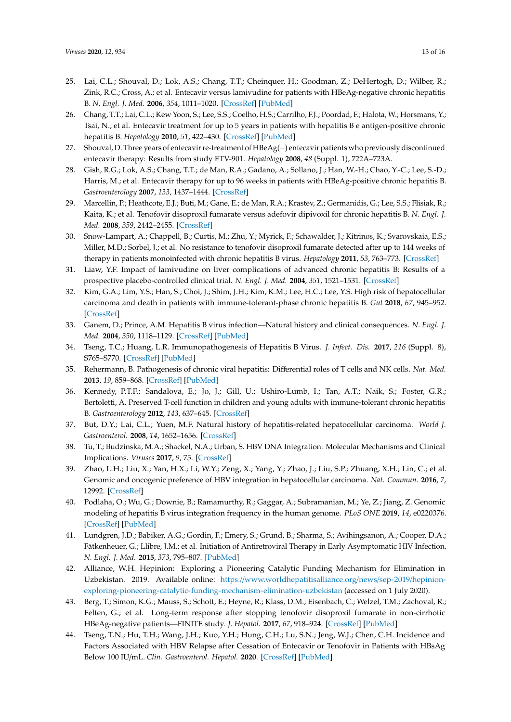- 25. Lai, C.L.; Shouval, D.; Lok, A.S.; Chang, T.T.; Cheinquer, H.; Goodman, Z.; DeHertogh, D.; Wilber, R.; Zink, R.C.; Cross, A.; et al. Entecavir versus lamivudine for patients with HBeAg-negative chronic hepatitis B. *N. Engl. J. Med.* **2006**, *354*, 1011–1020. [\[CrossRef\]](http://dx.doi.org/10.1056/NEJMoa051287) [\[PubMed\]](http://www.ncbi.nlm.nih.gov/pubmed/16525138)
- 26. Chang, T.T.; Lai, C.L.; Kew Yoon, S.; Lee, S.S.; Coelho, H.S.; Carrilho, F.J.; Poordad, F.; Halota, W.; Horsmans, Y.; Tsai, N.; et al. Entecavir treatment for up to 5 years in patients with hepatitis B e antigen-positive chronic hepatitis B. *Hepatology* **2010**, *51*, 422–430. [\[CrossRef\]](http://dx.doi.org/10.1002/hep.23327) [\[PubMed\]](http://www.ncbi.nlm.nih.gov/pubmed/20049753)
- 27. Shouval, D. Three years of entecavir re-treatment of HBeAg(−) entecavir patients who previously discontinued entecavir therapy: Results from study ETV-901. *Hepatology* **2008**, *48* (Suppl. 1), 722A–723A.
- 28. Gish, R.G.; Lok, A.S.; Chang, T.T.; de Man, R.A.; Gadano, A.; Sollano, J.; Han, W.-H.; Chao, Y.-C.; Lee, S.-D.; Harris, M.; et al. Entecavir therapy for up to 96 weeks in patients with HBeAg-positive chronic hepatitis B. *Gastroenterology* **2007**, *133*, 1437–1444. [\[CrossRef\]](http://dx.doi.org/10.1053/j.gastro.2007.08.025)
- <span id="page-12-13"></span>29. Marcellin, P.; Heathcote, E.J.; Buti, M.; Gane, E.; de Man, R.A.; Krastev, Z.; Germanidis, G.; Lee, S.S.; Flisiak, R.; Kaita, K.; et al. Tenofovir disoproxil fumarate versus adefovir dipivoxil for chronic hepatitis B. *N. Engl. J. Med.* **2008**, *359*, 2442–2455. [\[CrossRef\]](http://dx.doi.org/10.1056/NEJMoa0802878)
- 30. Snow-Lampart, A.; Chappell, B.; Curtis, M.; Zhu, Y.; Myrick, F.; Schawalder, J.; Kitrinos, K.; Svarovskaia, E.S.; Miller, M.D.; Sorbel, J.; et al. No resistance to tenofovir disoproxil fumarate detected after up to 144 weeks of therapy in patients monoinfected with chronic hepatitis B virus. *Hepatology* **2011**, *53*, 763–773. [\[CrossRef\]](http://dx.doi.org/10.1002/hep.24078)
- <span id="page-12-0"></span>31. Liaw, Y.F. Impact of lamivudine on liver complications of advanced chronic hepatitis B: Results of a prospective placebo-controlled clinical trial. *N. Engl. J. Med.* **2004**, *351*, 1521–1531. [\[CrossRef\]](http://dx.doi.org/10.1056/NEJMoa033364)
- <span id="page-12-1"></span>32. Kim, G.A.; Lim, Y.S.; Han, S.; Choi, J.; Shim, J.H.; Kim, K.M.; Lee, H.C.; Lee, Y.S. High risk of hepatocellular carcinoma and death in patients with immune-tolerant-phase chronic hepatitis B. *Gut* **2018**, *67*, 945–952. [\[CrossRef\]](http://dx.doi.org/10.1136/gutjnl-2017-314904)
- <span id="page-12-2"></span>33. Ganem, D.; Prince, A.M. Hepatitis B virus infection—Natural history and clinical consequences. *N. Engl. J. Med.* **2004**, *350*, 1118–1129. [\[CrossRef\]](http://dx.doi.org/10.1056/NEJMra031087) [\[PubMed\]](http://www.ncbi.nlm.nih.gov/pubmed/15014185)
- <span id="page-12-3"></span>34. Tseng, T.C.; Huang, L.R. Immunopathogenesis of Hepatitis B Virus. *J. Infect. Dis.* **2017**, *216* (Suppl. 8), S765–S770. [\[CrossRef\]](http://dx.doi.org/10.1093/infdis/jix356) [\[PubMed\]](http://www.ncbi.nlm.nih.gov/pubmed/29156047)
- <span id="page-12-4"></span>35. Rehermann, B. Pathogenesis of chronic viral hepatitis: Differential roles of T cells and NK cells. *Nat. Med.* **2013**, *19*, 859–868. [\[CrossRef\]](http://dx.doi.org/10.1038/nm.3251) [\[PubMed\]](http://www.ncbi.nlm.nih.gov/pubmed/23836236)
- <span id="page-12-15"></span><span id="page-12-5"></span>36. Kennedy, P.T.F.; Sandalova, E.; Jo, J.; Gill, U.; Ushiro-Lumb, I.; Tan, A.T.; Naik, S.; Foster, G.R.; Bertoletti, A. Preserved T-cell function in children and young adults with immune-tolerant chronic hepatitis B. *Gastroenterology* **2012**, *143*, 637–645. [\[CrossRef\]](http://dx.doi.org/10.1053/j.gastro.2012.06.009)
- <span id="page-12-6"></span>37. But, D.Y.; Lai, C.L.; Yuen, M.F. Natural history of hepatitis-related hepatocellular carcinoma. *World J. Gastroenterol.* **2008**, *14*, 1652–1656. [\[CrossRef\]](http://dx.doi.org/10.3748/wjg.14.1652)
- <span id="page-12-7"></span>38. Tu, T.; Budzinska, M.A.; Shackel, N.A.; Urban, S. HBV DNA Integration: Molecular Mechanisms and Clinical Implications. *Viruses* **2017**, *9*, 75. [\[CrossRef\]](http://dx.doi.org/10.3390/v9040075)
- <span id="page-12-8"></span>39. Zhao, L.H.; Liu, X.; Yan, H.X.; Li, W.Y.; Zeng, X.; Yang, Y.; Zhao, J.; Liu, S.P.; Zhuang, X.H.; Lin, C.; et al. Genomic and oncogenic preference of HBV integration in hepatocellular carcinoma. *Nat. Commun.* **2016**, *7*, 12992. [\[CrossRef\]](http://dx.doi.org/10.1038/ncomms12992)
- <span id="page-12-9"></span>40. Podlaha, O.; Wu, G.; Downie, B.; Ramamurthy, R.; Gaggar, A.; Subramanian, M.; Ye, Z.; Jiang, Z. Genomic modeling of hepatitis B virus integration frequency in the human genome. *PLoS ONE* **2019**, *14*, e0220376. [\[CrossRef\]](http://dx.doi.org/10.1371/journal.pone.0220376) [\[PubMed\]](http://www.ncbi.nlm.nih.gov/pubmed/31356634)
- <span id="page-12-10"></span>41. Lundgren, J.D.; Babiker, A.G.; Gordin, F.; Emery, S.; Grund, B.; Sharma, S.; Avihingsanon, A.; Cooper, D.A.; Fätkenheuer, G.; Llibre, J.M.; et al. Initiation of Antiretroviral Therapy in Early Asymptomatic HIV Infection. *N. Engl. J. Med.* **2015**, *373*, 795–807. [\[PubMed\]](http://www.ncbi.nlm.nih.gov/pubmed/26192873)
- <span id="page-12-11"></span>42. Alliance, W.H. Hepinion: Exploring a Pioneering Catalytic Funding Mechanism for Elimination in Uzbekistan. 2019. Available online: https://[www.worldhepatitisalliance.org](https://www.worldhepatitisalliance.org/news/sep-2019/hepinion-exploring-pioneering-catalytic-funding-mechanism-elimination-uzbekistan)/news/sep-2019/hepinion[exploring-pioneering-catalytic-funding-mechanism-elimination-uzbekistan](https://www.worldhepatitisalliance.org/news/sep-2019/hepinion-exploring-pioneering-catalytic-funding-mechanism-elimination-uzbekistan) (accessed on 1 July 2020).
- <span id="page-12-12"></span>43. Berg, T.; Simon, K.G.; Mauss, S.; Schott, E.; Heyne, R.; Klass, D.M.; Eisenbach, C.; Welzel, T.M.; Zachoval, R.; Felten, G.; et al. Long-term response after stopping tenofovir disoproxil fumarate in non-cirrhotic HBeAg-negative patients—FINITE study. *J. Hepatol.* **2017**, *67*, 918–924. [\[CrossRef\]](http://dx.doi.org/10.1016/j.jhep.2017.07.012) [\[PubMed\]](http://www.ncbi.nlm.nih.gov/pubmed/28736139)
- <span id="page-12-14"></span>44. Tseng, T.N.; Hu, T.H.; Wang, J.H.; Kuo, Y.H.; Hung, C.H.; Lu, S.N.; Jeng, W.J.; Chen, C.H. Incidence and Factors Associated with HBV Relapse after Cessation of Entecavir or Tenofovir in Patients with HBsAg Below 100 IU/mL. *Clin. Gastroenterol. Hepatol.* **2020**. [\[CrossRef\]](http://dx.doi.org/10.1016/j.cgh.2020.04.037) [\[PubMed\]](http://www.ncbi.nlm.nih.gov/pubmed/32360818)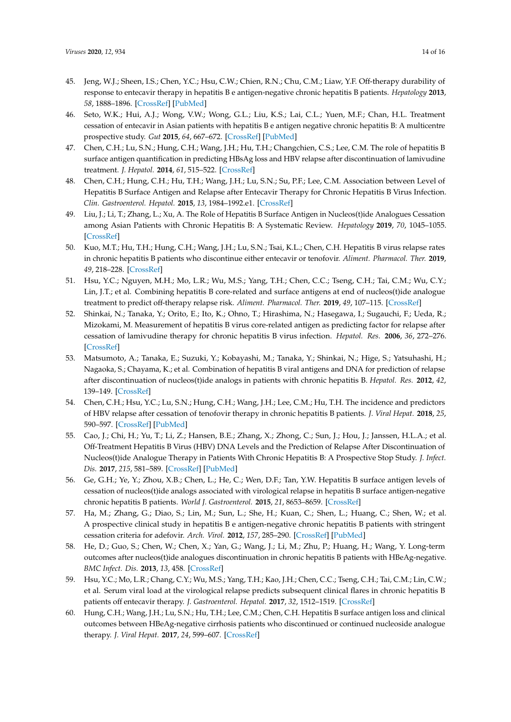- <span id="page-13-10"></span><span id="page-13-8"></span><span id="page-13-7"></span><span id="page-13-2"></span>45. Jeng, W.J.; Sheen, I.S.; Chen, Y.C.; Hsu, C.W.; Chien, R.N.; Chu, C.M.; Liaw, Y.F. Off-therapy durability of response to entecavir therapy in hepatitis B e antigen-negative chronic hepatitis B patients. *Hepatology* **2013**, *58*, 1888–1896. [\[CrossRef\]](http://dx.doi.org/10.1002/hep.26549) [\[PubMed\]](http://www.ncbi.nlm.nih.gov/pubmed/23744454)
- 46. Seto, W.K.; Hui, A.J.; Wong, V.W.; Wong, G.L.; Liu, K.S.; Lai, C.L.; Yuen, M.F.; Chan, H.L. Treatment cessation of entecavir in Asian patients with hepatitis B e antigen negative chronic hepatitis B: A multicentre prospective study. *Gut* **2015**, *64*, 667–672. [\[CrossRef\]](http://dx.doi.org/10.1136/gutjnl-2014-307237) [\[PubMed\]](http://www.ncbi.nlm.nih.gov/pubmed/24833635)
- 47. Chen, C.H.; Lu, S.N.; Hung, C.H.; Wang, J.H.; Hu, T.H.; Changchien, C.S.; Lee, C.M. The role of hepatitis B surface antigen quantification in predicting HBsAg loss and HBV relapse after discontinuation of lamivudine treatment. *J. Hepatol.* **2014**, *61*, 515–522. [\[CrossRef\]](http://dx.doi.org/10.1016/j.jhep.2014.04.029)
- <span id="page-13-9"></span>48. Chen, C.H.; Hung, C.H.; Hu, T.H.; Wang, J.H.; Lu, S.N.; Su, P.F.; Lee, C.M. Association between Level of Hepatitis B Surface Antigen and Relapse after Entecavir Therapy for Chronic Hepatitis B Virus Infection. *Clin. Gastroenterol. Hepatol.* **2015**, *13*, 1984–1992.e1. [\[CrossRef\]](http://dx.doi.org/10.1016/j.cgh.2015.06.002)
- <span id="page-13-1"></span>49. Liu, J.; Li, T.; Zhang, L.; Xu, A. The Role of Hepatitis B Surface Antigen in Nucleos(t)ide Analogues Cessation among Asian Patients with Chronic Hepatitis B: A Systematic Review. *Hepatology* **2019**, *70*, 1045–1055. [\[CrossRef\]](http://dx.doi.org/10.1002/hep.30474)
- 50. Kuo, M.T.; Hu, T.H.; Hung, C.H.; Wang, J.H.; Lu, S.N.; Tsai, K.L.; Chen, C.H. Hepatitis B virus relapse rates in chronic hepatitis B patients who discontinue either entecavir or tenofovir. *Aliment. Pharmacol. Ther.* **2019**, *49*, 218–228. [\[CrossRef\]](http://dx.doi.org/10.1111/apt.15053)
- <span id="page-13-3"></span>51. Hsu, Y.C.; Nguyen, M.H.; Mo, L.R.; Wu, M.S.; Yang, T.H.; Chen, C.C.; Tseng, C.H.; Tai, C.M.; Wu, C.Y.; Lin, J.T.; et al. Combining hepatitis B core-related and surface antigens at end of nucleos(t)ide analogue treatment to predict off-therapy relapse risk. *Aliment. Pharmacol. Ther.* **2019**, *49*, 107–115. [\[CrossRef\]](http://dx.doi.org/10.1111/apt.15058)
- <span id="page-13-5"></span><span id="page-13-4"></span>52. Shinkai, N.; Tanaka, Y.; Orito, E.; Ito, K.; Ohno, T.; Hirashima, N.; Hasegawa, I.; Sugauchi, F.; Ueda, R.; Mizokami, M. Measurement of hepatitis B virus core-related antigen as predicting factor for relapse after cessation of lamivudine therapy for chronic hepatitis B virus infection. *Hepatol. Res.* **2006**, *36*, 272–276. [\[CrossRef\]](http://dx.doi.org/10.1016/j.hepres.2006.08.005)
- <span id="page-13-6"></span>53. Matsumoto, A.; Tanaka, E.; Suzuki, Y.; Kobayashi, M.; Tanaka, Y.; Shinkai, N.; Hige, S.; Yatsuhashi, H.; Nagaoka, S.; Chayama, K.; et al. Combination of hepatitis B viral antigens and DNA for prediction of relapse after discontinuation of nucleos(t)ide analogs in patients with chronic hepatitis B. *Hepatol. Res.* **2012**, *42*, 139–149. [\[CrossRef\]](http://dx.doi.org/10.1111/j.1872-034X.2011.00910.x)
- <span id="page-13-0"></span>54. Chen, C.H.; Hsu, Y.C.; Lu, S.N.; Hung, C.H.; Wang, J.H.; Lee, C.M.; Hu, T.H. The incidence and predictors of HBV relapse after cessation of tenofovir therapy in chronic hepatitis B patients. *J. Viral Hepat.* **2018**, *25*, 590–597. [\[CrossRef\]](http://dx.doi.org/10.1111/jvh.12851) [\[PubMed\]](http://www.ncbi.nlm.nih.gov/pubmed/29274189)
- 55. Cao, J.; Chi, H.; Yu, T.; Li, Z.; Hansen, B.E.; Zhang, X.; Zhong, C.; Sun, J.; Hou, J.; Janssen, H.L.A.; et al. Off-Treatment Hepatitis B Virus (HBV) DNA Levels and the Prediction of Relapse After Discontinuation of Nucleos(t)ide Analogue Therapy in Patients With Chronic Hepatitis B: A Prospective Stop Study. *J. Infect. Dis.* **2017**, *215*, 581–589. [\[CrossRef\]](http://dx.doi.org/10.1093/infdis/jix025) [\[PubMed\]](http://www.ncbi.nlm.nih.gov/pubmed/28329347)
- 56. Ge, G.H.; Ye, Y.; Zhou, X.B.; Chen, L.; He, C.; Wen, D.F.; Tan, Y.W. Hepatitis B surface antigen levels of cessation of nucleos(t)ide analogs associated with virological relapse in hepatitis B surface antigen-negative chronic hepatitis B patients. *World J. Gastroenterol.* **2015**, *21*, 8653–8659. [\[CrossRef\]](http://dx.doi.org/10.3748/wjg.v21.i28.8653)
- 57. Ha, M.; Zhang, G.; Diao, S.; Lin, M.; Sun, L.; She, H.; Kuan, C.; Shen, L.; Huang, C.; Shen, W.; et al. A prospective clinical study in hepatitis B e antigen-negative chronic hepatitis B patients with stringent cessation criteria for adefovir. *Arch. Virol.* **2012**, *157*, 285–290. [\[CrossRef\]](http://dx.doi.org/10.1007/s00705-011-1163-0) [\[PubMed\]](http://www.ncbi.nlm.nih.gov/pubmed/22080196)
- 58. He, D.; Guo, S.; Chen, W.; Chen, X.; Yan, G.; Wang, J.; Li, M.; Zhu, P.; Huang, H.; Wang, Y. Long-term outcomes after nucleos(t)ide analogues discontinuation in chronic hepatitis B patients with HBeAg-negative. *BMC Infect. Dis.* **2013**, *13*, 458. [\[CrossRef\]](http://dx.doi.org/10.1186/1471-2334-13-458)
- 59. Hsu, Y.C.; Mo, L.R.; Chang, C.Y.; Wu, M.S.; Yang, T.H.; Kao, J.H.; Chen, C.C.; Tseng, C.H.; Tai, C.M.; Lin, C.W.; et al. Serum viral load at the virological relapse predicts subsequent clinical flares in chronic hepatitis B patients off entecavir therapy. *J. Gastroenterol. Hepatol.* **2017**, *32*, 1512–1519. [\[CrossRef\]](http://dx.doi.org/10.1111/jgh.13728)
- 60. Hung, C.H.; Wang, J.H.; Lu, S.N.; Hu, T.H.; Lee, C.M.; Chen, C.H. Hepatitis B surface antigen loss and clinical outcomes between HBeAg-negative cirrhosis patients who discontinued or continued nucleoside analogue therapy. *J. Viral Hepat.* **2017**, *24*, 599–607. [\[CrossRef\]](http://dx.doi.org/10.1111/jvh.12683)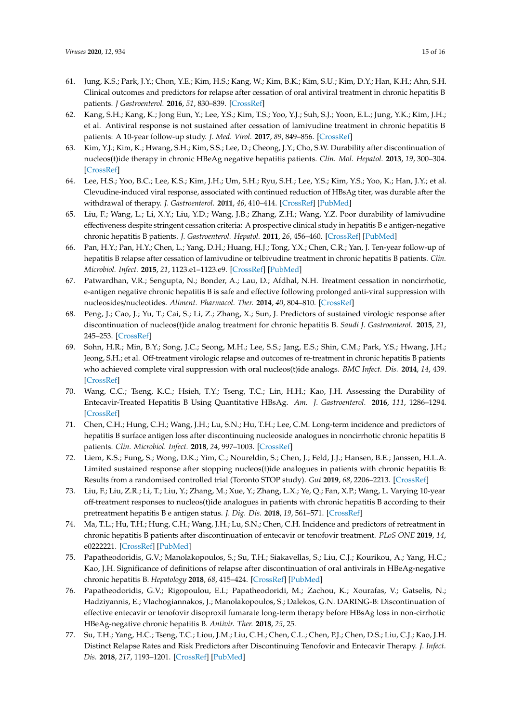- <span id="page-14-6"></span><span id="page-14-5"></span><span id="page-14-4"></span><span id="page-14-3"></span><span id="page-14-2"></span><span id="page-14-1"></span><span id="page-14-0"></span>61. Jung, K.S.; Park, J.Y.; Chon, Y.E.; Kim, H.S.; Kang, W.; Kim, B.K.; Kim, S.U.; Kim, D.Y.; Han, K.H.; Ahn, S.H. Clinical outcomes and predictors for relapse after cessation of oral antiviral treatment in chronic hepatitis B patients. *J Gastroenterol.* **2016**, *51*, 830–839. [\[CrossRef\]](http://dx.doi.org/10.1007/s00535-015-1153-1)
- <span id="page-14-7"></span>62. Kang, S.H.; Kang, K.; Jong Eun, Y.; Lee, Y.S.; Kim, T.S.; Yoo, Y.J.; Suh, S.J.; Yoon, E.L.; Jung, Y.K.; Kim, J.H.; et al. Antiviral response is not sustained after cessation of lamivudine treatment in chronic hepatitis B patients: A 10-year follow-up study. *J. Med. Virol.* **2017**, *89*, 849–856. [\[CrossRef\]](http://dx.doi.org/10.1002/jmv.24715)
- <span id="page-14-8"></span>63. Kim, Y.J.; Kim, K.; Hwang, S.H.; Kim, S.S.; Lee, D.; Cheong, J.Y.; Cho, S.W. Durability after discontinuation of nucleos(t)ide therapy in chronic HBeAg negative hepatitis patients. *Clin. Mol. Hepatol.* **2013**, *19*, 300–304. [\[CrossRef\]](http://dx.doi.org/10.3350/cmh.2013.19.3.300)
- <span id="page-14-9"></span>64. Lee, H.S.; Yoo, B.C.; Lee, K.S.; Kim, J.H.; Um, S.H.; Ryu, S.H.; Lee, Y.S.; Kim, Y.S.; Yoo, K.; Han, J.Y.; et al. Clevudine-induced viral response, associated with continued reduction of HBsAg titer, was durable after the withdrawal of therapy. *J. Gastroenterol.* **2011**, *46*, 410–414. [\[CrossRef\]](http://dx.doi.org/10.1007/s00535-010-0354-x) [\[PubMed\]](http://www.ncbi.nlm.nih.gov/pubmed/21181212)
- <span id="page-14-10"></span>65. Liu, F.; Wang, L.; Li, X.Y.; Liu, Y.D.; Wang, J.B.; Zhang, Z.H.; Wang, Y.Z. Poor durability of lamivudine effectiveness despite stringent cessation criteria: A prospective clinical study in hepatitis B e antigen-negative chronic hepatitis B patients. *J. Gastroenterol. Hepatol.* **2011**, *26*, 456–460. [\[CrossRef\]](http://dx.doi.org/10.1111/j.1440-1746.2010.06492.x) [\[PubMed\]](http://www.ncbi.nlm.nih.gov/pubmed/21332542)
- <span id="page-14-11"></span>66. Pan, H.Y.; Pan, H.Y.; Chen, L.; Yang, D.H.; Huang, H.J.; Tong, Y.X.; Chen, C.R.; Yan, J. Ten-year follow-up of hepatitis B relapse after cessation of lamivudine or telbivudine treatment in chronic hepatitis B patients. *Clin. Microbiol. Infect.* **2015**, *21*, 1123.e1–1123.e9. [\[CrossRef\]](http://dx.doi.org/10.1016/j.cmi.2015.07.023) [\[PubMed\]](http://www.ncbi.nlm.nih.gov/pubmed/26253290)
- <span id="page-14-12"></span>67. Patwardhan, V.R.; Sengupta, N.; Bonder, A.; Lau, D.; Afdhal, N.H. Treatment cessation in noncirrhotic, e-antigen negative chronic hepatitis B is safe and effective following prolonged anti-viral suppression with nucleosides/nucleotides. *Aliment. Pharmacol. Ther.* **2014**, *40*, 804–810. [\[CrossRef\]](http://dx.doi.org/10.1111/apt.12908)
- <span id="page-14-13"></span>68. Peng, J.; Cao, J.; Yu, T.; Cai, S.; Li, Z.; Zhang, X.; Sun, J. Predictors of sustained virologic response after discontinuation of nucleos(t)ide analog treatment for chronic hepatitis B. *Saudi J. Gastroenterol.* **2015**, *21*, 245–253. [\[CrossRef\]](http://dx.doi.org/10.4103/1319-3767.161645)
- <span id="page-14-14"></span>69. Sohn, H.R.; Min, B.Y.; Song, J.C.; Seong, M.H.; Lee, S.S.; Jang, E.S.; Shin, C.M.; Park, Y.S.; Hwang, J.H.; Jeong, S.H.; et al. Off-treatment virologic relapse and outcomes of re-treatment in chronic hepatitis B patients who achieved complete viral suppression with oral nucleos(t)ide analogs. *BMC Infect. Dis.* **2014**, *14*, 439. [\[CrossRef\]](http://dx.doi.org/10.1186/1471-2334-14-439)
- <span id="page-14-15"></span>70. Wang, C.C.; Tseng, K.C.; Hsieh, T.Y.; Tseng, T.C.; Lin, H.H.; Kao, J.H. Assessing the Durability of Entecavir-Treated Hepatitis B Using Quantitative HBsAg. *Am. J. Gastroenterol.* **2016**, *111*, 1286–1294. [\[CrossRef\]](http://dx.doi.org/10.1038/ajg.2016.109)
- <span id="page-14-16"></span>71. Chen, C.H.; Hung, C.H.; Wang, J.H.; Lu, S.N.; Hu, T.H.; Lee, C.M. Long-term incidence and predictors of hepatitis B surface antigen loss after discontinuing nucleoside analogues in noncirrhotic chronic hepatitis B patients. *Clin. Microbiol. Infect.* **2018**, *24*, 997–1003. [\[CrossRef\]](http://dx.doi.org/10.1016/j.cmi.2017.12.013)
- 72. Liem, K.S.; Fung, S.; Wong, D.K.; Yim, C.; Noureldin, S.; Chen, J.; Feld, J.J.; Hansen, B.E.; Janssen, H.L.A. Limited sustained response after stopping nucleos(t)ide analogues in patients with chronic hepatitis B: Results from a randomised controlled trial (Toronto STOP study). *Gut* **2019**, *68*, 2206–2213. [\[CrossRef\]](http://dx.doi.org/10.1136/gutjnl-2019-318981)
- 73. Liu, F.; Liu, Z.R.; Li, T.; Liu, Y.; Zhang, M.; Xue, Y.; Zhang, L.X.; Ye, Q.; Fan, X.P.; Wang, L. Varying 10-year off-treatment responses to nucleos(t)ide analogues in patients with chronic hepatitis B according to their pretreatment hepatitis B e antigen status. *J. Dig. Dis.* **2018**, *19*, 561–571. [\[CrossRef\]](http://dx.doi.org/10.1111/1751-2980.12654)
- 74. Ma, T.L.; Hu, T.H.; Hung, C.H.; Wang, J.H.; Lu, S.N.; Chen, C.H. Incidence and predictors of retreatment in chronic hepatitis B patients after discontinuation of entecavir or tenofovir treatment. *PLoS ONE* **2019**, *14*, e0222221. [\[CrossRef\]](http://dx.doi.org/10.1371/journal.pone.0222221) [\[PubMed\]](http://www.ncbi.nlm.nih.gov/pubmed/31584951)
- 75. Papatheodoridis, G.V.; Manolakopoulos, S.; Su, T.H.; Siakavellas, S.; Liu, C.J.; Kourikou, A.; Yang, H.C.; Kao, J.H. Significance of definitions of relapse after discontinuation of oral antivirals in HBeAg-negative chronic hepatitis B. *Hepatology* **2018**, *68*, 415–424. [\[CrossRef\]](http://dx.doi.org/10.1002/hep.29497) [\[PubMed\]](http://www.ncbi.nlm.nih.gov/pubmed/28859219)
- 76. Papatheodoridis, G.V.; Rigopoulou, E.I.; Papatheodoridi, M.; Zachou, K.; Xourafas, V.; Gatselis, N.; Hadziyannis, E.; Vlachogiannakos, J.; Manolakopoulos, S.; Dalekos, G.N. DARING-B: Discontinuation of effective entecavir or tenofovir disoproxil fumarate long-term therapy before HBsAg loss in non-cirrhotic HBeAg-negative chronic hepatitis B. *Antivir. Ther.* **2018**, *25*, 25.
- 77. Su, T.H.; Yang, H.C.; Tseng, T.C.; Liou, J.M.; Liu, C.H.; Chen, C.L.; Chen, P.J.; Chen, D.S.; Liu, C.J.; Kao, J.H. Distinct Relapse Rates and Risk Predictors after Discontinuing Tenofovir and Entecavir Therapy. *J. Infect. Dis.* **2018**, *217*, 1193–1201. [\[CrossRef\]](http://dx.doi.org/10.1093/infdis/jix690) [\[PubMed\]](http://www.ncbi.nlm.nih.gov/pubmed/29300980)